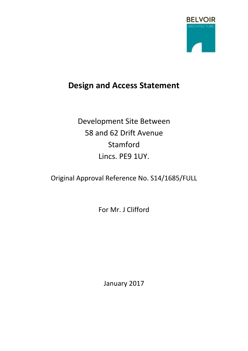

# **Design and Access Statement**

Development Site Between 58 and 62 Drift Avenue Stamford Lincs. PE9 1UY.

Original Approval Reference No. S14/1685/FULL

For Mr. J Clifford

January 2017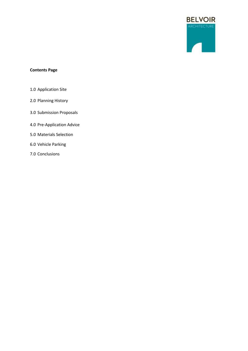

# **Contents Page**

- 1.0 Application Site
- 2.0 Planning History
- 3.0 Submission Proposals
- 4.0 Pre-Application Advice
- 5.0 Materials Selection
- 6.0 Vehicle Parking
- 7.0 Conclusions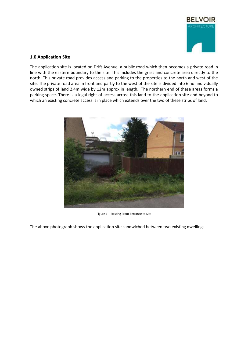

# **1.0 Application Site**

The application site is located on Drift Avenue, a public road which then becomes a private road in line with the eastern boundary to the site. This includes the grass and concrete area directly to the north. This private road provides access and parking to the properties to the north and west of the site. The private road area in front and partly to the west of the site is divided into 6 no. individually owned strips of land 2.4m wide by 12m approx in length. The northern end of these areas forms a parking space. There is a legal right of access across this land to the application site and beyond to which an existing concrete access is in place which extends over the two of these strips of land.



Figure 1 – Existing Front Entrance to Site

The above photograph shows the application site sandwiched between two existing dwellings.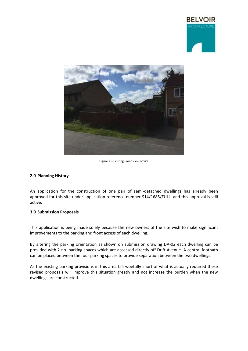



Figure 2 – Existing Front View of Site

# **2.0 Planning History**

An application for the construction of one pair of semi-detached dwellings has already been approved for this site under application reference number S14/1685/FULL, and this approval is still active.

# **3.0 Submission Proposals**

This application is being made solely because the new owners of the site wish to make significant improvements to the parking and front access of each dwelling.

By altering the parking orientation as shown on submission drawing DA-02 each dwelling can be provided with 2 no. parking spaces which are accessed directly off Drift Avenue. A central footpath can be placed between the four parking spaces to provide separation between the two dwellings.

As the existing parking provisions in this area fall woefully short of what is actually required these revised proposals will improve this situation greatly and not increase the burden when the new dwellings are constructed.